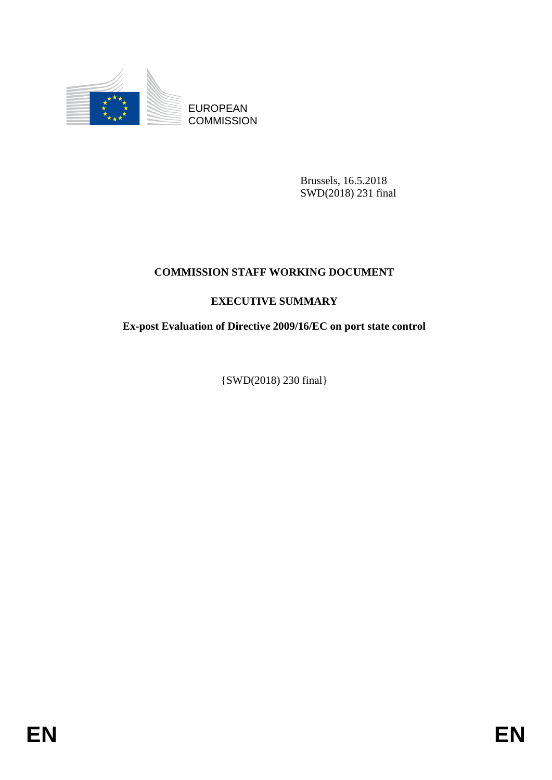

EUROPEAN **COMMISSION** 

> Brussels, 16.5.2018 SWD(2018) 231 final

## **COMMISSION STAFF WORKING DOCUMENT**

## **EXECUTIVE SUMMARY**

## **Ex-post Evaluation of Directive 2009/16/EC on port state control**

{SWD(2018) 230 final}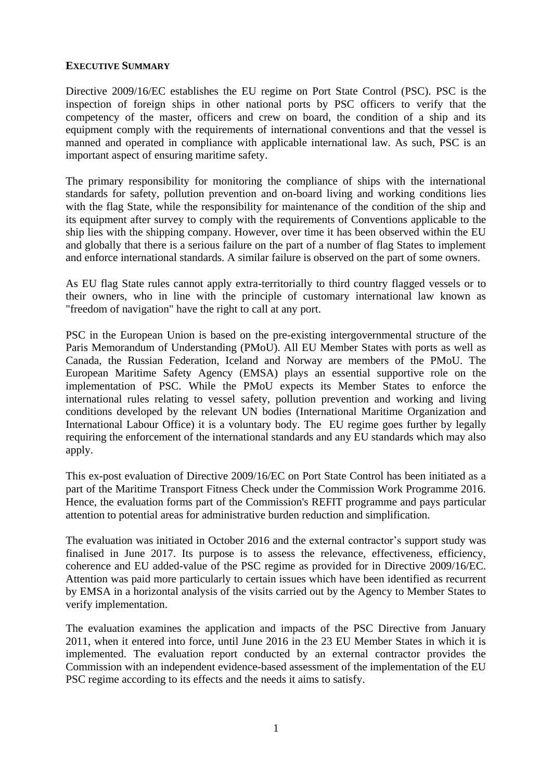## **EXECUTIVE SUMMARY**

Directive 2009/16/EC establishes the EU regime on Port State Control (PSC). PSC is the inspection of foreign ships in other national ports by PSC officers to verify that the competency of the master, officers and crew on board, the condition of a ship and its equipment comply with the requirements of international conventions and that the vessel is manned and operated in compliance with applicable international law. As such, PSC is an important aspect of ensuring maritime safety.

The primary responsibility for monitoring the compliance of ships with the international standards for safety, pollution prevention and on-board living and working conditions lies with the flag State, while the responsibility for maintenance of the condition of the ship and its equipment after survey to comply with the requirements of Conventions applicable to the ship lies with the shipping company. However, over time it has been observed within the EU and globally that there is a serious failure on the part of a number of flag States to implement and enforce international standards. A similar failure is observed on the part of some owners.

As EU flag State rules cannot apply extra-territorially to third country flagged vessels or to their owners, who in line with the principle of customary international law known as "freedom of navigation" have the right to call at any port.

PSC in the European Union is based on the pre-existing intergovernmental structure of the Paris Memorandum of Understanding (PMoU). All EU Member States with ports as well as Canada, the Russian Federation, Iceland and Norway are members of the PMoU. The European Maritime Safety Agency (EMSA) plays an essential supportive role on the implementation of PSC. While the PMoU expects its Member States to enforce the international rules relating to vessel safety, pollution prevention and working and living conditions developed by the relevant UN bodies (International Maritime Organization and International Labour Office) it is a voluntary body. The EU regime goes further by legally requiring the enforcement of the international standards and any EU standards which may also apply.

This ex-post evaluation of Directive 2009/16/EC on Port State Control has been initiated as a part of the Maritime Transport Fitness Check under the Commission Work Programme 2016. Hence, the evaluation forms part of the Commission's REFIT programme and pays particular attention to potential areas for administrative burden reduction and simplification.

The evaluation was initiated in October 2016 and the external contractor's support study was finalised in June 2017. Its purpose is to assess the relevance, effectiveness, efficiency, coherence and EU added-value of the PSC regime as provided for in Directive 2009/16/EC. Attention was paid more particularly to certain issues which have been identified as recurrent by EMSA in a horizontal analysis of the visits carried out by the Agency to Member States to verify implementation.

The evaluation examines the application and impacts of the PSC Directive from January 2011, when it entered into force, until June 2016 in the 23 EU Member States in which it is implemented. The evaluation report conducted by an external contractor provides the Commission with an independent evidence-based assessment of the implementation of the EU PSC regime according to its effects and the needs it aims to satisfy.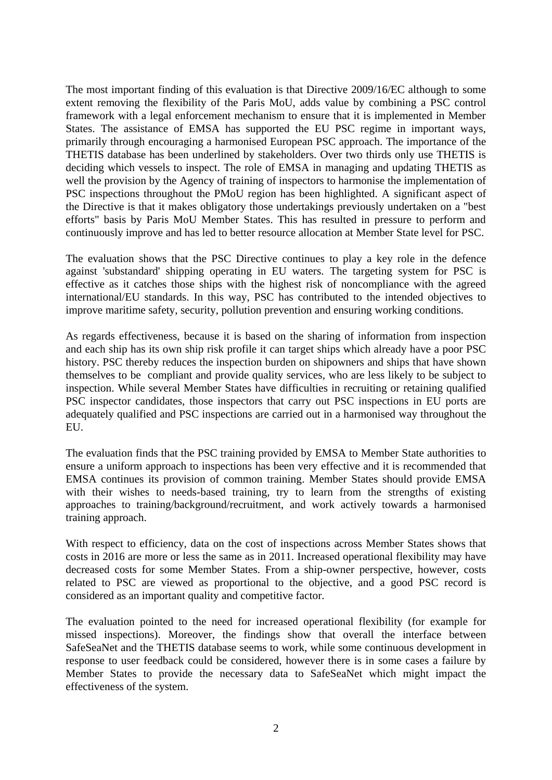The most important finding of this evaluation is that Directive 2009/16/EC although to some extent removing the flexibility of the Paris MoU, adds value by combining a PSC control framework with a legal enforcement mechanism to ensure that it is implemented in Member States. The assistance of EMSA has supported the EU PSC regime in important ways, primarily through encouraging a harmonised European PSC approach. The importance of the THETIS database has been underlined by stakeholders. Over two thirds only use THETIS is deciding which vessels to inspect. The role of EMSA in managing and updating THETIS as well the provision by the Agency of training of inspectors to harmonise the implementation of PSC inspections throughout the PMoU region has been highlighted. A significant aspect of the Directive is that it makes obligatory those undertakings previously undertaken on a "best efforts" basis by Paris MoU Member States. This has resulted in pressure to perform and continuously improve and has led to better resource allocation at Member State level for PSC.

The evaluation shows that the PSC Directive continues to play a key role in the defence against 'substandard' shipping operating in EU waters. The targeting system for PSC is effective as it catches those ships with the highest risk of noncompliance with the agreed international/EU standards. In this way, PSC has contributed to the intended objectives to improve maritime safety, security, pollution prevention and ensuring working conditions.

As regards effectiveness, because it is based on the sharing of information from inspection and each ship has its own ship risk profile it can target ships which already have a poor PSC history. PSC thereby reduces the inspection burden on shipowners and ships that have shown themselves to be compliant and provide quality services, who are less likely to be subject to inspection. While several Member States have difficulties in recruiting or retaining qualified PSC inspector candidates, those inspectors that carry out PSC inspections in EU ports are adequately qualified and PSC inspections are carried out in a harmonised way throughout the EU.

The evaluation finds that the PSC training provided by EMSA to Member State authorities to ensure a uniform approach to inspections has been very effective and it is recommended that EMSA continues its provision of common training. Member States should provide EMSA with their wishes to needs-based training, try to learn from the strengths of existing approaches to training/background/recruitment, and work actively towards a harmonised training approach.

With respect to efficiency, data on the cost of inspections across Member States shows that costs in 2016 are more or less the same as in 2011. Increased operational flexibility may have decreased costs for some Member States. From a ship-owner perspective, however, costs related to PSC are viewed as proportional to the objective, and a good PSC record is considered as an important quality and competitive factor.

The evaluation pointed to the need for increased operational flexibility (for example for missed inspections). Moreover, the findings show that overall the interface between SafeSeaNet and the THETIS database seems to work, while some continuous development in response to user feedback could be considered, however there is in some cases a failure by Member States to provide the necessary data to SafeSeaNet which might impact the effectiveness of the system.